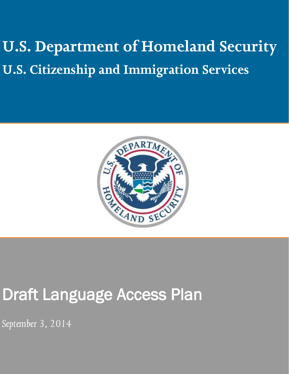**U.S. Department of Homeland Security U.S. Citizenship and Immigration Services**



# Draft Language Access Plan

*September 3, 2014*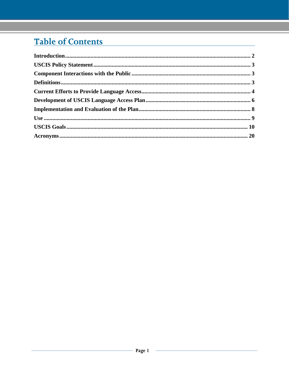# Table of Contents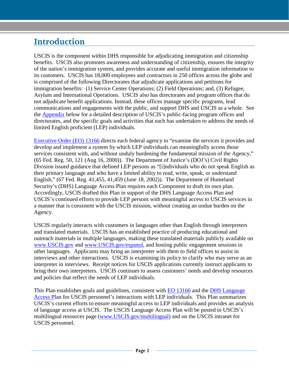# <span id="page-2-0"></span>**Introduction**

USCIS is the component within DHS responsible for adjudicating immigration and citizenship benefits. USCIS also promotes awareness and understanding of citizenship, ensures the integrity of the nation's immigration system, and provides accurate and useful immigration information to its customers. USCIS has 18,000 employees and contractors in 250 offices across the globe and is comprised of the following Directorates that adjudicate applications and petitions for immigration benefits: (1) Service Center Operations; (2) Field Operations; and, (3) Refugee, Asylum and International Operations. USCIS also has directorates and program offices that do not adjudicate benefit applications. Instead, these offices manage specific programs, lead communications and engagements with the public, and support DHS and USCIS as a whole. See the Appendix below for a detailed description of USCIS's public-facing program offices and directorates, and the specific goals and activities that each has undertaken to address the needs of limited English proficient (LEP) individuals.

[Executive Order \(EO\) 13166](http://www.gpo.gov/fdsys/pkg/FR-2000-08-16/pdf/00-20938.pdf) directs each federal agency to "examine the services it provides and develop and implement a system by which LEP individuals can meaningfully access those services consistent with, and without unduly burdening the fundamental mission of the Agency," (65 Fed. Reg. 50, 121 (Aug 16, 2000)). The Department of Justice's (DOJ's) Civil Rights Division issued guidance that defined LEP persons as "[i]ndividuals who do not speak English as their primary language and who have a limited ability to read, write, speak, or understand English," (67 Fed. Reg. 41,455, 41,459 (June 18, 2002)). The Department of Homeland Security's (DHS) Language Access Plan requires each Component to draft its own plan. Accordingly, USCIS drafted this Plan in support of the DHS Language Access Plan and USCIS's continued efforts to provide LEP persons with meaningful access to USCIS services in a manner that is consistent with the USCIS mission, without creating an undue burden on the Agency.

USCIS regularly interacts with customers in languages other than English through interpreters and translated materials. USCIS has an established practice of producing educational and outreach materials in multiple languages, making these translated materials publicly available on [www.USCIS.gov](http://www.uscis.gov/) and [www.USCIS.gov/espanol,](http://www.uscis.gov/espanol) and hosting public engagement sessions in other languages. Applicants may bring an interpreter with them to field offices to assist in interviews and other interactions. USCIS is examining its policy to clarify who may serve as an interpreter in interviews. Receipt notices for USCIS applications currently instruct applicants to bring their own interpreters. USCIS continues to assess customers' needs and develop resources and policies that reflect the needs of LEP individuals.

This Plan establishes goals and guidelines, consistent with [EO 13166](http://www.gpo.gov/fdsys/pkg/FR-2000-08-16/pdf/00-20938.pdf) and the [DHS Langauge](http://www.lep.gov/guidance/040312_crcl-dhs-language-access-plan.pdf)  [Access Pl](http://www.lep.gov/guidance/040312_crcl-dhs-language-access-plan.pdf)an for USCIS personnel's interactions with LEP individuals. This Plan summarizes USCIS's current efforts to ensure meaningful access to LEP individuals and provides an analysis of language access at USCIS. The USCIS Language Access Plan will be posted to USCIS's multilingual resources page [\(www.USCIS.gov/multilingual\)](http://www.uscis.gov/multilingual) and on the USCIS intranet for USCIS personnel.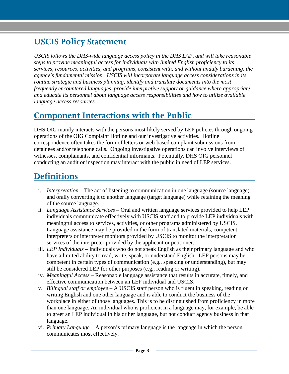# <span id="page-3-0"></span>**USCIS Policy Statement**

*USCIS follows the DHS-wide language access policy in the DHS LAP, and will take reasonable steps to provide meaningful access for individuals with limited English proficiency to its services, resources, activities, and programs, consistent with, and without unduly burdening, the agency's fundamental mission. USCIS will incorporate language access considerations in its routine strategic and business planning, identify and translate documents into the most frequently encountered languages, provide interpretive support or guidance where appropriate, and educate its personnel about language access responsibilities and how to utilize available language access resources.*

# <span id="page-3-1"></span>**Component Interactions with the Public**

DHS OIG mainly interacts with the persons most likely served by LEP policies through ongoing operations of the OIG Complaint Hotline and our investigative activities. Hotline correspondence often takes the form of letters or web-based complaint submissions from detainees and/or telephone calls. Ongoing investigative operations can involve interviews of witnesses, complainants, and confidential informants. Potentially, DHS OIG personnel conducting an audit or inspection may interact with the public in need of LEP services.

# <span id="page-3-2"></span>**Definitions**

- i. *Interpretation* The act of listening to communication in one language (source language) and orally converting it to another language (target language) while retaining the meaning of the source language.
- ii. *Language Assistance Services* Oral and written language services provided to help LEP individuals communicate effectively with USCIS staff and to provide LEP individuals with meaningful access to services, activities, or other programs administered by USCIS. Language assistance may be provided in the form of translated materials, competent interpreters or interpreter monitors provided by USCIS to monitor the interpretation services of the interpreter provided by the applicant or petitioner.
- iii. *LEP Individuals*  Individuals who do not speak English as their primary language and who have a limited ability to read, write, speak, or understand English. LEP persons may be competent in certain types of communication (e.g., speaking or understanding), but may still be considered LEP for other purposes (e.g., reading or writing).
- iv. *Meaningful Access* Reasonable language assistance that results in accurate, timely, and effective communication between an LEP individual and USCIS.
- v. *Bilingual staff or employee* A USCIS staff person who is fluent in speaking, reading or writing English and one other language and is able to conduct the business of the workplace in either of those languages. This is to be distinguished from proficiency in more than one language. An individual who is proficient in a language may, for example, be able to greet an LEP individual in his or her language, but not conduct agency business in that language.
- vi. *Primary Language* A person's primary language is the language in which the person communicates most effectively.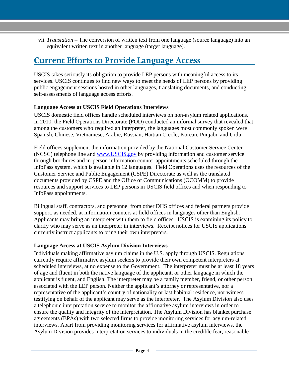vii. *Translation* – The conversion of written text from one language (source language) into an equivalent written text in another language (target language).

# <span id="page-4-0"></span>**Current Efforts to Provide Language Access**

USCIS takes seriously its obligation to provide LEP persons with meaningful access to its services. USCIS continues to find new ways to meet the needs of LEP persons by providing public engagement sessions hosted in other languages, translating documents, and conducting self-assessments of language access efforts.

#### **Language Access at USCIS Field Operations Interviews**

USCIS domestic field offices handle scheduled interviews on non-asylum related applications. In 2010, the Field Operations Directorate (FOD) conducted an informal survey that revealed that among the customers who required an interpreter, the languages most commonly spoken were Spanish, Chinese, Vietnamese, Arabic, Russian, Haitian Creole, Korean, Punjabi, and Urdu.

Field offices supplement the information provided by the National Customer Service Center (NCSC) telephone line and [www.USCIS.gov](http://www.uscis.gov/) by providing information and customer service through brochures and in-person information counter appointments scheduled through the InfoPass system, which is available in 12 languages. Field Operations uses the resources of the Customer Service and Public Engagement (CSPE) Directorate as well as the translated documents provided by CSPE and the Office of Communications (OCOMM) to provide resources and support services to LEP persons in USCIS field offices and when responding to InfoPass appointments.

Bilingual staff, contractors, and personnel from other DHS offices and federal partners provide support, as needed, at information counters at field offices in languages other than English. Applicants may bring an interpreter with them to field offices. USCIS is examining its policy to clarify who may serve as an interpreter in interviews. Receipt notices for USCIS applications currently instruct applicants to bring their own interpreters.

### **Language Access at USCIS Asylum Division Interviews**

Individuals making affirmative asylum claims in the U.S. apply through USCIS. Regulations currently require affirmative asylum seekers to provide their own competent interpreters at scheduled interviews, at no expense to the Government. The interpreter must be at least 18 years of age and fluent in both the native language of the applicant, or other language in which the applicant is fluent, and English. The interpreter may be a family member, friend, or other person associated with the LEP person. Neither the applicant's attorney or representative, nor a representative of the applicant's country of nationality or last habitual residence, nor witness testifying on behalf of the applicant may serve as the interpreter. The Asylum Division also uses a telephonic interpretation service to monitor the affirmative asylum interviews in order to ensure the quality and integrity of the interpretation. The Asylum Division has blanket purchase agreements (BPAs) with two selected firms to provide monitoring services for asylum-related interviews. Apart from providing monitoring services for affirmative asylum interviews, the Asylum Division provides interpretation services to individuals in the credible fear, reasonable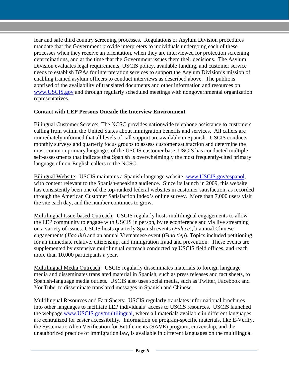fear and safe third country screening processes. Regulations or Asylum Division procedures mandate that the Government provide interpreters to individuals undergoing each of these processes when they receive an orientation, when they are interviewed for protection screening determinations, and at the time that the Government issues them their decisions. The Asylum Division evaluates legal requirements, USCIS policy, available funding, and customer service needs to establish BPAs for interpretation services to support the Asylum Division's mission of enabling trained asylum officers to conduct interviews as described above. The public is apprised of the availability of translated documents and other information and resources on [www.USCIS.gov](http://www.uscis.gov/) and through regularly scheduled meetings with nongovernmental organization representatives.

#### **Contact with LEP Persons Outside the Interview Environment**

Bilingual Customer Service: The NCSC provides nationwide telephone assistance to customers calling from within the United States about immigration benefits and services. All callers are immediately informed that all levels of call support are available in Spanish. USCIS conducts monthly surveys and quarterly focus groups to assess customer satisfaction and determine the most common primary languages of the USCIS customer base. USCIS has conducted multiple self-assessments that indicate that Spanish is overwhelmingly the most frequently-cited primary language of non-English callers to the NCSC.

Bilingual Website: USCIS maintains a Spanish-language website, [www.USCIS.gov/espanol,](http://www.uscis.gov/espanol) with content relevant to the Spanish-speaking audience. Since its launch in 2009, this website has consistently been one of the top-ranked federal websites in customer satisfaction, as recorded through the American Customer Satisfaction Index's online survey. More than 7,000 users visit the site each day, and the number continues to grow.

Multilingual Issue-based Outreach: USCIS regularly hosts multilingual engagements to allow the LEP community to engage with USCIS in person, by teleconference and via live streaming on a variety of issues. USCIS hosts quarterly Spanish events (*Enlace*), biannual Chinese engagements (*Jiao liu*) and an annual Vietnamese event (*Giao tiep*). Topics included petitioning for an immediate relative, citizenship, and immigration fraud and prevention. These events are supplemented by extensive multilingual outreach conducted by USCIS field offices, and reach more than 10,000 participants a year.

Multilingual Media Outreach: USCIS regularly disseminates materials to foreign language media and disseminates translated material in Spanish, such as press releases and fact sheets, to Spanish-language media outlets. USCIS also uses social media, such as Twitter, Facebook and YouTube, to disseminate translated messages in Spanish and Chinese.

Multilingual Resources and Fact Sheets: USCIS regularly translates informational brochures into other languages to facilitate LEP individuals' access to USCIS resources. USCIS launched the webpage [www.USCIS.gov/multilingual,](http://www.uscis.gov/multilingual) where all materials available in different languages are centralized for easier accessibility. Information on program-specific materials, like E-Verify, the Systematic Alien Verification for Entitlements (SAVE) program, citizenship, and the unauthorized practice of immigration law, is available in different languages on the multilingual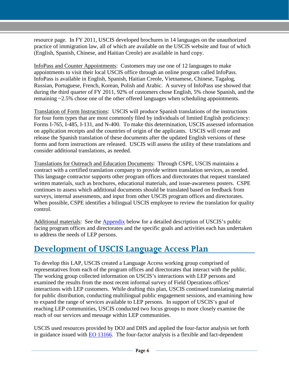resource page. In FY 2011, USCIS developed brochures in 14 languages on the unauthorized practice of immigration law, all of which are available on the USCIS website and four of which (English, Spanish, Chinese, and Haitian Creole) are available in hard copy.

InfoPass and Counter Appointments: Customers may use one of 12 languages to make appointments to visit their local USCIS office through an online program called InfoPass. InfoPass is available in English, Spanish, Haitian Creole, Vietnamese, Chinese, Tagalog, Russian, Portuguese, French, Korean, Polish and Arabic. A survey of InfoPass use showed that during the third quarter of FY 2011, 92% of customers chose English, 5% chose Spanish, and the remaining  $\approx$  2.5% chose one of the other offered languages when scheduling appointments.

Translation of Form Instructions: USCIS will produce Spanish translations of the instructions for four form types that are most commonly filed by individuals of limited English proficiency: Forms I-765, I-485, I-131, and N-400. To make this determination, USCIS assessed information on application receipts and the countries of origin of the applicants. USCIS will create and release the Spanish translation of these documents after the updated English versions of these forms and form instructions are released. USCIS will assess the utility of these translations and consider additional translations, as needed.

Translations for Outreach and Education Documents: Through CSPE, USCIS maintains a contract with a certified translation company to provide written translation services, as needed. This language contractor supports other program offices and directorates that request translated written materials, such as brochures, educational materials, and issue-awareness posters. CSPE continues to assess which additional documents should be translated based on feedback from surveys, internal assessments, and input from other USCIS program offices and directorates. When possible, CSPE identifies a bilingual USCIS employee to review the translation for quality control.

Additional materials: See the Appendix below for a detailed description of USCIS's public facing program offices and directorates and the specific goals and activities each has undertaken to address the needs of LEP persons.

# <span id="page-6-0"></span>**Development of USCIS Language Access Plan**

To develop this LAP, USCIS created a Language Access working group comprised of representatives from each of the program offices and directorates that interact with the public. The working group collected information on USCIS's interactions with LEP persons and examined the results from the most recent informal survey of Field Operations offices' interactions with LEP customers. While drafting this plan, USCIS continued translating material for public distribution, conducting multilingual public engagement sessions, and examining how to expand the range of services available to LEP persons. In support of USCIS's goal of reaching LEP communities, USCIS conducted two focus groups to more closely examine the reach of our services and message within LEP communities.

USCIS used resources provided by DOJ and DHS and applied the four-factor analysis set forth in guidance issued with  $E_0$  13166. The four-factor analysis is a flexible and fact-dependent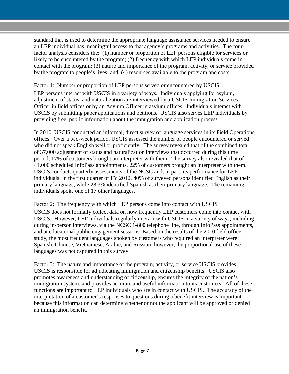standard that is used to determine the appropriate language assistance services needed to ensure an LEP individual has meaningful access to that agency's programs and activities. The fourfactor analysis considers the: (1) number or proportion of LEP persons eligible for services or likely to be encountered by the program; (2) frequency with which LEP individuals come in contact with the program; (3) nature and importance of the program, activity, or service provided by the program to people's lives; and, (4) resources available to the program and costs.

#### Factor 1: Number or proportion of LEP persons served or encountered by USCIS

LEP persons interact with USCIS in a variety of ways. Individuals applying for asylum, adjustment of status, and naturalization are interviewed by a USCIS Immigration Services Officer in field offices or by an Asylum Officer in asylum offices. Individuals interact with USCIS by submitting paper applications and petitions. USCIS also serves LEP individuals by providing free, public information about the immigration and application process.

In 2010, USCIS conducted an informal, direct survey of language services in its Field Operations offices. Over a two-week period, USCIS assessed the number of people encountered or served who did not speak English well or proficiently. The survey revealed that of the combined total of 37,000 adjustment of status and naturalization interviews that occurred during this time period, 17% of customers brought an interpreter with them. The survey also revealed that of 41,000 scheduled InfoPass appointments, 22% of customers brought an interpreter with them. USCIS conducts quarterly assessments of the NCSC and, in part, its performance for LEP individuals. In the first quarter of FY 2012, 40% of surveyed persons identified English as their primary language, while 28.3% identified Spanish as their primary language. The remaining individuals spoke one of 17 other languages.

#### Factor 2: The frequency with which LEP persons come into contact with USCIS

USCIS does not formally collect data on how frequently LEP customers come into contact with USCIS. However, LEP individuals regularly interact with USCIS in a variety of ways, including during in-person interviews, via the NCSC 1-800 telephone line, through InfoPass appointments, and at educational public engagement sessions. Based on the results of the 2010 field office study, the most frequent languages spoken by customers who required an interpreter were Spanish, Chinese, Vietnamese, Arabic, and Russian; however, the proportional use of these languages was not captured in this survey.

Factor 3: The nature and importance of the program, activity, or service USCIS provides USCIS is responsible for adjudicating immigration and citizenship benefits. USCIS also promotes awareness and understanding of citizenship, ensures the integrity of the nation's immigration system, and provides accurate and useful information to its customers. All of these functions are important to LEP individuals who are in contact with USCIS. The accuracy of the interpretation of a customer's responses to questions during a benefit interview is important because this information can determine whether or not the applicant will be approved or denied an immigration benefit.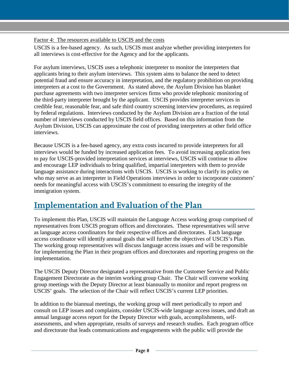Factor 4: The resources available to USCIS and the costs

USCIS is a fee-based agency. As such, USCIS must analyze whether providing interpreters for all interviews is cost-effective for the Agency and for the applicants.

For asylum interviews, USCIS uses a telephonic interpreter to monitor the interpreters that applicants bring to their asylum interviews. This system aims to balance the need to detect potential fraud and ensure accuracy in interpretation, and the regulatory prohibition on providing interpreters at a cost to the Government. As stated above, the Asylum Division has blanket purchase agreements with two interpreter services firms who provide telephonic monitoring of the third-party interpreter brought by the applicant. USCIS provides interpreter services in credible fear, reasonable fear, and safe third country screening interview procedures, as required by federal regulations. Interviews conducted by the Asylum Division are a fraction of the total number of interviews conducted by USCIS field offices. Based on this information from the Asylum Division, USCIS can approximate the cost of providing interpreters at other field office interviews.

Because USCIS is a fee-based agency, any extra costs incurred to provide interpreters for all interviews would be funded by increased application fees. To avoid increasing application fees to pay for USCIS-provided interpretation services at interviews, USCIS will continue to allow and encourage LEP individuals to bring qualified, impartial interpreters with them to provide language assistance during interactions with USCIS. USCIS is working to clarify its policy on who may serve as an interpreter in Field Operations interviews in order to incorporate customers' needs for meaningful access with USCIS's commitment to ensuring the integrity of the immigration system.

# <span id="page-8-0"></span>**Implementation and Evaluation of the Plan**

To implement this Plan, USCIS will maintain the Language Access working group comprised of representatives from USCIS program offices and directorates. These representatives will serve as language access coordinators for their respective offices and directorates. Each language access coordinator will identify annual goals that will further the objectives of USCIS's Plan. The working group representatives will discuss language access issues and will be responsible for implementing the Plan in their program offices and directorates and reporting progress on the implementation.

The USCIS Deputy Director designated a representative from the Customer Service and Public Engagement Directorate as the interim working group Chair. The Chair will convene working group meetings with the Deputy Director at least biannually to monitor and report progress on USCIS' goals. The selection of the Chair will reflect USCIS's current LEP priorities.

In addition to the biannual meetings, the working group will meet periodically to report and consult on LEP issues and complaints, consider USCIS-wide language access issues, and draft an annual language access report for the Deputy Director with goals, accomplishments, selfassessments, and when appropriate, results of surveys and research studies. Each program office and directorate that leads communications and engagements with the public will provide the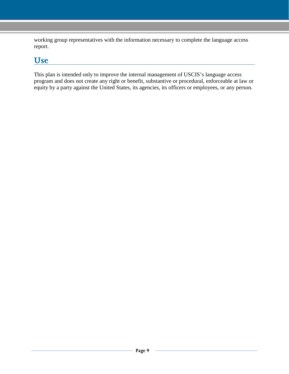working group representatives with the information necessary to complete the language access report.

# <span id="page-9-0"></span>**Use**

This plan is intended only to improve the internal management of USCIS's language access program and does not create any right or benefit, substantive or procedural, enforceable at law or equity by a party against the United States, its agencies, its officers or employees, or any person.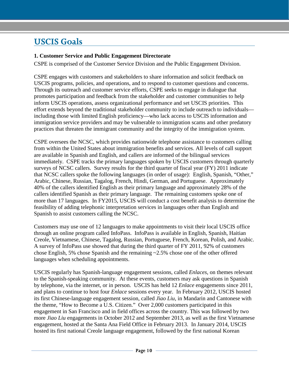# <span id="page-10-0"></span>**USCIS Goals**

#### **1. Customer Service and Public Engagement Directorate**

CSPE is comprised of the Customer Service Division and the Public Engagement Division.

CSPE engages with customers and stakeholders to share information and solicit feedback on USCIS programs, policies, and operations, and to respond to customer questions and concerns. Through its outreach and customer service efforts, CSPE seeks to engage in dialogue that promotes participation and feedback from the stakeholder and customer communities to help inform USCIS operations, assess organizational performance and set USCIS priorities. This effort extends beyond the traditional stakeholder community to include outreach to individuals including those with limited English proficiency—who lack access to USCIS information and immigration service providers and may be vulnerable to immigration scams and other predatory practices that threaten the immigrant community and the integrity of the immigration system.

CSPE oversees the NCSC, which provides nationwide telephone assistance to customers calling from within the United States about immigration benefits and services. All levels of call support are available in Spanish and English, and callers are informed of the bilingual services immediately. CSPE tracks the primary languages spoken by USCIS customers through quarterly surveys of NCSC callers. Survey results for the third quarter of fiscal year (FY) 2011 indicate that NCSC callers spoke the following languages (in order of usage): English, Spanish, "Other," Arabic, Chinese, Russian, Tagalog, French, Hindi, German, and Portuguese. Approximately 40% of the callers identified English as their primary language and approximately 28% of the callers identified Spanish as their primary language. The remaining customers spoke one of more than 17 languages. In FY2015, USCIS will conduct a cost benefit analysis to determine the feasibility of adding telephonic interpretation services in languages other than English and Spanish to assist customers calling the NCSC.

Customers may use one of 12 languages to make appointments to visit their local USCIS office through an online program called InfoPass. InfoPass is available in English, Spanish, Haitian Creole, Vietnamese, Chinese, Tagalog, Russian, Portuguese, French, Korean, Polish, and Arabic. A survey of InfoPass use showed that during the third quarter of FY 2011, 92% of customers chose English, 5% chose Spanish and the remaining ~2.5% chose one of the other offered languages when scheduling appointments.

USCIS regularly has Spanish-language engagement sessions, called *Enlaces*, on themes relevant to the Spanish-speaking community. At these events, customers may ask questions in Spanish by telephone, via the internet, or in person. USCIS has held 12 *Enlace* engagements since 2011, and plans to continue to host four *Enlace* sessions every year. In February 2012, USCIS hosted its first Chinese-language engagement session, called *Jiao Liu*, in Mandarin and Cantonese with the theme, "How to Become a U.S. Citizen." Over 2,000 customers participated in this engagement in San Francisco and in field offices across the country. This was followed by two more *Jiao Liu* engagements in October 2012 and September 2013, as well as the first Vietnamese engagement, hosted at the Santa Ana Field Office in February 2013. In January 2014, USCIS hosted its first national Creole language engagement, followed by the first national Korean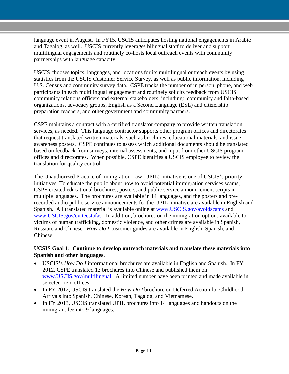language event in August. In FY15, USCIS anticipates hosting national engagements in Arabic and Tagalog, as well. USCIS currently leverages bilingual staff to deliver and support multilingual engagements and routinely co-hosts local outreach events with community partnerships with language capacity.

USCIS chooses topics, languages, and locations for its multilingual outreach events by using statistics from the USCIS Customer Service Survey, as well as public information, including U.S. Census and community survey data. CSPE tracks the number of in person, phone, and web participants in each multilingual engagement and routinely solicits feedback from USCIS community relations officers and external stakeholders, including: community and faith-based organizations, advocacy groups, English as a Second Language (ESL) and citizenship preparation teachers, and other government and community partners.

CSPE maintains a contract with a certified translator company to provide written translation services, as needed. This language contractor supports other program offices and directorates that request translated written materials, such as brochures, educational materials, and issueawareness posters. CSPE continues to assess which additional documents should be translated based on feedback from surveys, internal assessments, and input from other USCIS program offices and directorates. When possible, CSPE identifies a USCIS employee to review the translation for quality control.

The Unauthorized Practice of Immigration Law (UPIL) initiative is one of USCIS's priority initiatives. To educate the public about how to avoid potential immigration services scams, CSPE created educational brochures, posters, and public service announcement scripts in multiple languages. The brochures are available in 14 languages, and the posters and prerecorded audio public service announcements for the UPIL initiative are available in English and Spanish. All translated material is available online at [www.USCIS.gov/avoidscams](http://www.uscis.gov/avoidscams) and [www.USCIS.gov/eviteestafas.](http://www.uscis.gov/eviteestafas) In addition, brochures on the immigration options available to victims of human trafficking, domestic violence, and other crimes are available in Spanish, Russian, and Chinese. *How Do I* customer guides are available in English, Spanish, and Chinese.

#### **UCSIS Goal 1: Continue to develop outreach materials and translate these materials into Spanish and other languages.**

- USCIS's *How Do I* informational brochures are available in English and Spanish. In FY 2012, CSPE translated 13 brochures into Chinese and published them on [www.USCIS.gov/multilingual.](http://www.uscis.gov/multilingual) A limited number have been printed and made available in selected field offices.
- In FY 2012, USCIS translated the *How Do I* brochure on Deferred Action for Childhood Arrivals into Spanish, Chinese, Korean, Tagalog, and Vietnamese.
- In FY 2013, USCIS translated UPIL brochures into 14 languages and handouts on the immigrant fee into 9 languages.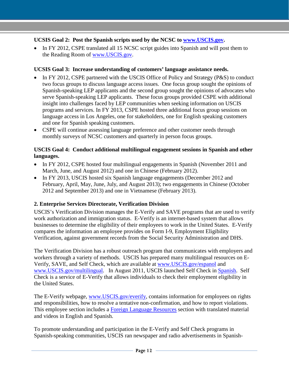### **UCSIS Goal 2: Post the Spanish scripts used by the NCSC to [www.USCIS.gov.](http://www.uscis.gov/)**

• In FY 2012, CSPE translated all 15 NCSC script guides into Spanish and will post them to the Reading Room of [www.USCIS.gov.](http://www.uscis.gov/)

### **UCSIS Goal 3: Increase understanding of customers' language assistance needs.**

- In FY 2012, CSPE partnered with the USCIS Office of Policy and Strategy (P&S) to conduct two focus groups to discuss language access issues. One focus group sought the opinions of Spanish-speaking LEP applicants and the second group sought the opinions of advocates who serve Spanish-speaking LEP applicants. These focus groups provided CSPE with additional insight into challenges faced by LEP communities when seeking information on USCIS programs and services. In FY 2013, CSPE hosted three additional focus group sessions on language access in Los Angeles, one for stakeholders, one for English speaking customers and one for Spanish speaking customers.
- CSPE will continue assessing language preference and other customer needs through monthly surveys of NCSC customers and quarterly in person focus groups.

#### **USCIS Goal 4: Conduct additional multilingual engagement sessions in Spanish and other languages.**

- In FY 2012, CSPE hosted four multilingual engagements in Spanish (November 2011 and March, June, and August 2012) and one in Chinese (February 2012).
- In FY 2013, USCIS hosted six Spanish language engagements (December 2012 and February, April, May, June, July, and August 2013); two engagements in Chinese (October 2012 and September 2013) and one in Vietnamese (February 2013).

### **2. Enterprise Services Directorate, Verification Division**

USCIS's Verification Division manages the E-Verify and SAVE programs that are used to verify work authorization and immigration status. E-Verify is an internet-based system that allows businesses to determine the eligibility of their employees to work in the United States. E-Verify compares the information an employee provides on Form I-9, Employment Eligibility Verification, against government records from the Social Security Administration and DHS.

The Verification Division has a robust outreach program that communicates with employers and workers through a variety of methods. USCIS has prepared many multilingual resources on E-Verify, SAVE, and Self Check, which are available at [www.USCIS.gov/espanol](http://www.uscis.gov/espanol) and [www.USCIS.gov/multilingual.](http://www.uscis.gov/multilingual) In August 2011, USCIS launched Self Check in [Spanish.](http://www.uscis.gov/portal/site/uscis-es/menuitem.e693c9cf3c2f7d18d52fae1074a191a0/?vgnextoid=3ad29bacc22e0310VgnVCM100000082ca60aRCRD&vgnextchannel=3ad29bacc22e0310VgnVCM100000082ca60aRCRD) Self Check is a service of E-Verify that allows individuals to check their employment eligibility in the United States.

The E-Verify webpage, [www.USCIS.gov/everify,](http://www.uscis.gov/everify) contains information for employees on rights and responsibilities, how to resolve a tentative non-confirmation, and how to report violations. This employee section includes a [Foreign Language Resources](http://www.uscis.gov/portal/site/uscis/menuitem.eb1d4c2a3e5b9ac89243c6a7543f6d1a/?vgnextoid=ded3d2aea352a210VgnVCM100000082ca60aRCRD&vgnextchannel=ded3d2aea352a210VgnVCM100000082ca60aRCRD) section with translated material and videos in English and Spanish.

To promote understanding and participation in the E-Verify and Self Check programs in Spanish-speaking communities, USCIS ran newspaper and radio advertisements in Spanish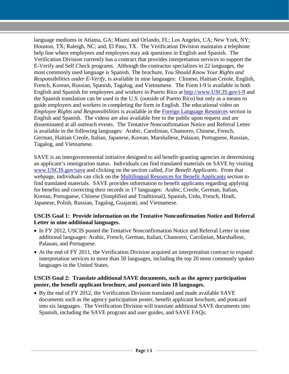language mediums in Atlanta, GA; Miami and Orlando, FL; Los Angeles, CA; New York, NY; Houston, TX; Raleigh, NC; and, El Paso, TX. The Verification Division maintains a telephone help line where employees and employers may ask questions in English and Spanish. The Verification Division currently has a contract that provides interpretation services to support the E-Verify and Self Check programs. Although the contractor specializes in 22 languages, the most commonly used language is Spanish. The brochure, *You Should Know Your Rights and Responsibilities under E-Verify*, is available in nine languages: Chinese, Haitian Creole, English, French, Korean, Russian, Spanish, Tagalog, and Vietnamese. The Form I-9 is available in both English and Spanish for employees and workers in Puerto Rico at [http://www.USCIS.gov/i-9](http://www.uscis.gov/i-9) and the Spanish translation can be used in the U.S. (outside of Puerto Rico) but only as a means to guide employers and workers in completing the form in English. The educational video on *Employee Rights and Responsibilities* is available in the [Foreign Language Resources](http://www.uscis.gov/portal/site/uscis/menuitem.eb1d4c2a3e5b9ac89243c6a7543f6d1a/?vgnextoid=ded3d2aea352a210VgnVCM100000082ca60aRCRD&vgnextchannel=ded3d2aea352a210VgnVCM100000082ca60aRCRD) section in English and Spanish. The videos are also available free to the public upon request and are disseminated at all outreach events. The Tentative Nonconfirmation Notice and Referral Letter is available in the following languages: Arabic, Carolinian, Chamorro, Chinese, French, German, Haitian Creole, Italian, Japanese, Korean, Marshallese, Palauan, Portuguese, Russian, Tagalog, and Vietnamese.

SAVE is an intergovernmental initiative designed to aid benefit-granting agencies in determining an applicant's immigration status. Individuals can find translated materials on SAVE by visiting [www.USCIS.gov/save](http://www.uscis.gov/save) and clicking on the section called, *For Benefit Applicants*. From that webpage, individuals can click on the [Multilingual Resources for Benefit Applicants](http://www.uscis.gov/portal/site/uscis/menuitem.eb1d4c2a3e5b9ac89243c6a7543f6d1a/?vgnextoid=ecca95d8f2f31310VgnVCM100000082ca60aRCRD&vgnextchannel=ecca95d8f2f31310VgnVCM100000082ca60aRCRD) section to find translated materials. SAVE provides information to benefit applicants regarding applying for benefits and correcting their records in 17 languages: Arabic, Creole, German, Italian, Korean, Portuguese, Chinese (Simplified and Traditional), Spanish, Urdu, French, Hindi, Japanese, Polish, Russian, Tagalog, Guajarati, and Vietnamese.

#### **USCIS Goal 1: Provide information on the Tentative Nonconfirmation Notice and Referral Letter in nine additional languages.**

- In FY 2012, USCIS posted the Tentative Nonconfirmation Notice and Referral Letter in nine additional languages: Arabic, French, German, Italian, Chamorro, Carolinian, Marshallese, Palauan, and Portuguese.
- At the end of FY 2011, the Verification Division acquired an interpretation contract to expand interpretation services to more than 50 languages, including the top 20 most commonly spoken languages in the United States.

#### **USCIS Goal 2: Translate additional SAVE documents, such as the agency participation poster, the benefit applicant brochure, and postcard into 18 languages.**

• By the end of FY 2012, the Verification Division translated and made available SAVE documents such as the agency participation poster, benefit applicant brochure, and postcard into six languages. The Verification Division will translate additional SAVE documents into Spanish, including the SAVE program and user guides, and SAVE FAQs.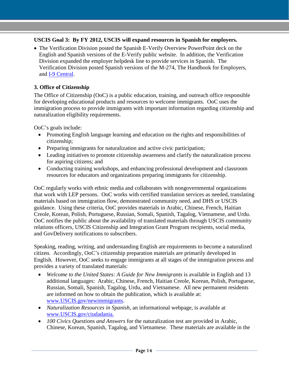### **USCIS Goal 3: By FY 2012, USCIS will expand resources in Spanish for employers.**

• The Verification Division posted the Spanish E-Verify Overview PowerPoint deck on the English and Spanish versions of the E-Verify public website. In addition, the Verification Division expanded the employer helpdesk line to provide services in Spanish. The Verification Division posted Spanish versions of the M-274, The Handbook for Employers, and [I-9 Central.](http://www.uscis.gov/I-9central)

#### **3. Office of Citizenship**

The Office of Citizenship (OoC) is a public education, training, and outreach office responsible for developing educational products and resources to welcome immigrants. OoC uses the immigration process to provide immigrants with important information regarding citizenship and naturalization eligibility requirements.

OoC's goals include:

- Promoting English language learning and education on the rights and responsibilities of citizenship;
- Preparing immigrants for naturalization and active civic participation;
- Leading initiatives to promote citizenship awareness and clarify the naturalization process for aspiring citizens; and
- Conducting training workshops, and enhancing professional development and classroom resources for educators and organizations preparing immigrants for citizenship.

OoC regularly works with ethnic media and collaborates with nongovernmental organizations that work with LEP persons. OoC works with certified translation services as needed, translating materials based on immigration flow, demonstrated community need, and DHS or USCIS guidance. Using these criteria, OoC provides materials in Arabic, Chinese, French, Haitian Creole, Korean, Polish, Portuguese, Russian, Somali, Spanish, Tagalog, Vietnamese, and Urdu. OoC notifies the public about the availability of translated materials through USCIS community relations officers, USCIS Citizenship and Integration Grant Program recipients, social media, and GovDelivery notifications to subscribers.

Speaking, reading, writing, and understanding English are requirements to become a naturalized citizen. Accordingly, OoC's citizenship preparation materials are primarily developed in English. However, OoC seeks to engage immigrants at all stages of the immigration process and provides a variety of translated materials:

- *Welcome to the United States: A Guide for New Immigrants* is available in English and 13 additional languages: Arabic, Chinese, French, Haitian Creole, Korean, Polish, Portuguese, Russian, Somali, Spanish, Tagalog, Urdu, and Vietnamese. All new permanent residents are informed on how to obtain the publication, which is available at: [www.USCIS.gov/newimmigrants.](http://www.uscis.gov/newimmigrants)
- *Naturalization Resources in Spanish*, an informational webpage, is available at [www.USCIS.gov/ciudadania.](http://www.uscis.gov/ciudadania)
- *100 Civics Questions and Answers* for the naturalization test are provided in Arabic, Chinese, Korean, Spanish, Tagalog, and Vietnamese. These materials are available in the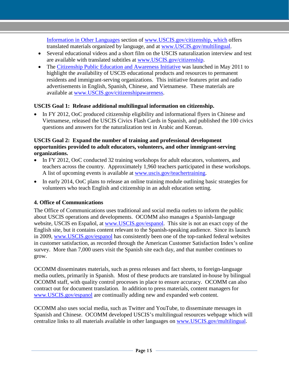[Information in Other Languages](http://www.uscis.gov/portal/site/uscis/menuitem.749cabd81f5ffc8fba713d10526e0aa0/?vgnextoid=3ec7cf2351488210VgnVCM10000025e6a00aRCRD&vgnextchannel=3ec7cf2351488210VgnVCM10000025e6a00aRCRD) section of [www.USCIS.gov/citizenship,](http://www.uscis.gov/citizenship) which offers translated materials organized by language, and at [www.USCIS.gov/multilingual.](http://www.uscis.gov/multilingual)

- Several educational videos and a short film on the USCIS naturalization interview and test are available with translated subtitles at [www.USCIS.gov/citizenship.](http://www.uscis.gov/citizenship)
- The [Citizenship Public Education and Awareness Initiative](http://www.uscis.gov/citizenshipawareness) was launched in May 2011 to highlight the availability of USCIS educational products and resources to permanent residents and immigrant-serving organizations. This initiative features print and radio advertisements in English, Spanish, Chinese, and Vietnamese. These materials are available at [www.USCIS.gov/citizenshipawareness.](http://www.uscis.gov/citizenshipawareness)

### **USCIS Goal 1: Release additional multilingual information on citizenship.**

• In FY 2012, OoC produced citizenship eligibility and informational flyers in Chinese and Vietnamese, released the USCIS Civics Flash Cards in Spanish, and published the 100 civics questions and answers for the naturalization test in Arabic and Korean.

#### **USCIS Goal 2: Expand the number of training and professional development opportunities provided to adult educators, volunteers, and other immigrant-serving organizations.**

- In FY 2012, OoC conducted 32 training workshops for adult educators, volunteers, and teachers across the country. Approximately 1,960 teachers participated in these workshops. A list of upcoming events is available at [www.uscis.gov/teachertraining.](http://www.uscis.gov/teachertraining)
- In early 2014, OoC plans to release an online training module outlining basic strategies for volunteers who teach English and citizenship in an adult education setting.

## **4. Office of Communications**

The Office of Communications uses traditional and social media outlets to inform the public about USCIS operations and developments. OCOMM also manages a Spanish-language website, USCIS en Español, at [www.USCIS.gov/espanol.](http://www.uscis.gov/espanol) This site is not an exact copy of the English site, but it contains content relevant to the Spanish-speaking audience. Since its launch in 2009, [www.USCIS.gov/espanol](http://www.uscis.gov/espanol) has consistently been one of the top-ranked federal websites in customer satisfaction, as recorded through the American Customer Satisfaction Index's online survey. More than 7,000 users visit the Spanish site each day, and that number continues to grow.

OCOMM disseminates materials, such as press releases and fact sheets, to foreign-language media outlets, primarily in Spanish. Most of these products are translated in-house by bilingual OCOMM staff, with quality control processes in place to ensure accuracy. OCOMM can also contract out for document translation. In addition to press materials, content managers for [www.USCIS.gov/espanol](http://www.uscis.gov/espanol) are continually adding new and expanded web content.

OCOMM also uses social media, such as Twitter and YouTube, to disseminate messages in Spanish and Chinese. OCOMM developed USCIS's multilingual resources webpage which will centralize links to all materials available in other languages on [www.USCIS.gov/multilingual.](http://www.uscis.gov/multilingual)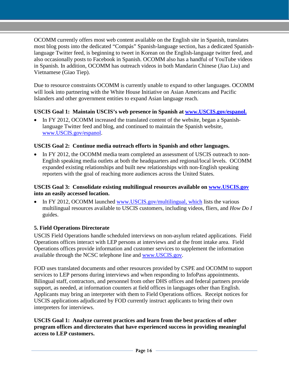OCOMM currently offers most web content available on the English site in Spanish, translates most blog posts into the dedicated "Compás" Spanish-language section, has a dedicated Spanishlanguage Twitter feed, is beginning to tweet in Korean on the English-language twitter feed, and also occasionally posts to Facebook in Spanish. OCOMM also has a handful of YouTube videos in Spanish. In addition, OCOMM has outreach videos in both Mandarin Chinese (Jiao Liu) and Vietnamese (Giao Tiep).

Due to resource constraints OCOMM is currently unable to expand to other languages. OCOMM will look into partnering with the White House Initiative on Asian Americans and Pacific Islanders and other government entities to expand Asian language reach.

### **USCIS Goal 1: Maintain USCIS's web presence in Spanish at [www.USCIS.gov/espanol.](http://www.uscis.gov/espanol)**

In FY 2012, OCOMM increased the translated content of the website, began a Spanishlanguage Twitter feed and blog, and continued to maintain the Spanish website, [www.USCIS.gov/espanol.](http://www.uscis.gov/espanol)

#### **USCIS Goal 2: Continue media outreach efforts in Spanish and other languages.**

• In FY 2012, the OCOMM media team completed an assessment of USCIS outreach to non-English speaking media outlets at both the headquarters and regional/local levels. OCOMM expanded existing relationships and built new relationships with non-English speaking reporters with the goal of reaching more audiences across the United States.

#### **USCIS Goal 3: Consolidate existing multilingual resources available on [www.USCIS.gov](http://www.uscis.gov/) into an easily accessed location.**

• In FY 2012, OCOMM launched [www.USCIS.gov/multilingual,](http://www.uscis.gov/multilingual) which lists the various multilingual resources available to USCIS customers, including videos, fliers, and *How Do I* guides.

### **5. Field Operations Directorate**

USCIS Field Operations handle scheduled interviews on non-asylum related applications. Field Operations offices interact with LEP persons at interviews and at the front intake area. Field Operations offices provide information and customer services to supplement the information available through the NCSC telephone line and [www.USCIS.gov.](http://www.uscis.gov/)

FOD uses translated documents and other resources provided by CSPE and OCOMM to support services to LEP persons during interviews and when responding to InfoPass appointments. Bilingual staff, contractors, and personnel from other DHS offices and federal partners provide support, as needed, at information counters at field offices in languages other than English. Applicants may bring an interpreter with them to Field Operations offices. Receipt notices for USCIS applications adjudicated by FOD currently instruct applicants to bring their own interpreters for interviews.

#### **USCIS Goal 1: Analyze current practices and learn from the best practices of other program offices and directorates that have experienced success in providing meaningful access to LEP customers.**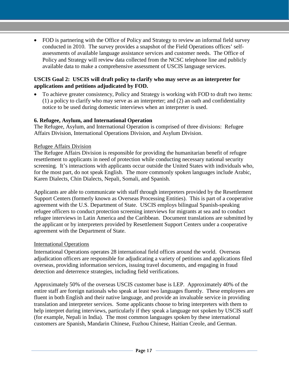• FOD is partnering with the Office of Policy and Strategy to review an informal field survey conducted in 2010. The survey provides a snapshot of the Field Operations offices' selfassessments of available language assistance services and customer needs. The Office of Policy and Strategy will review data collected from the NCSC telephone line and publicly available data to make a comprehensive assessment of USCIS language services.

#### **USCIS Goal 2: USCIS will draft policy to clarify who may serve as an interpreter for applications and petitions adjudicated by FOD.**

• To achieve greater consistency, Policy and Strategy is working with FOD to draft two items: (1) a policy to clarify who may serve as an interpreter; and (2) an oath and confidentiality notice to be used during domestic interviews when an interpreter is used.

#### **6. Refugee, Asylum, and International Operation**

The Refugee, Asylum, and International Operation is comprised of three divisions: Refugee Affairs Division, International Operations Division, and Asylum Division.

#### Refugee Affairs Division

The Refugee Affairs Division is responsible for providing the humanitarian benefit of refugee resettlement to applicants in need of protection while conducting necessary national security screening. It's interactions with applicants occur outside the United States with individuals who, for the most part, do not speak English. The more commonly spoken languages include Arabic, Karen Dialects, Chin Dialects, Nepali, Somali, and Spanish.

Applicants are able to communicate with staff through interpreters provided by the Resettlement Support Centers (formerly known as Overseas Processing Entities). This is part of a cooperative agreement with the U.S. Department of State. USCIS employs bilingual Spanish-speaking refugee officers to conduct protection screening interviews for migrants at sea and to conduct refugee interviews in Latin America and the Caribbean. Document translations are submitted by the applicant or by interpreters provided by Resettlement Support Centers under a cooperative agreement with the Department of State.

#### International Operations

International Operations operates 28 international field offices around the world. Overseas adjudication officers are responsible for adjudicating a variety of petitions and applications filed overseas, providing information services, issuing travel documents, and engaging in fraud detection and deterrence strategies, including field verifications.

Approximately 50% of the overseas USCIS customer base is LEP. Approximately 40% of the entire staff are foreign nationals who speak at least two languages fluently. These employees are fluent in both English and their native language, and provide an invaluable service in providing translation and interpreter services. Some applicants choose to bring interpreters with them to help interpret during interviews, particularly if they speak a language not spoken by USCIS staff (for example, Nepali in India). The most common languages spoken by these international customers are Spanish, Mandarin Chinese, Fuzhou Chinese, Haitian Creole, and German.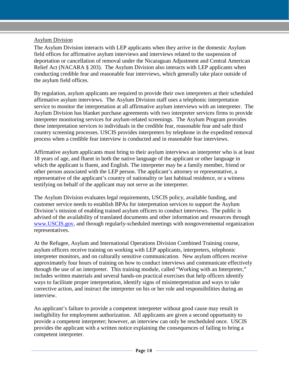#### Asylum Division

The Asylum Division interacts with LEP applicants when they arrive in the domestic Asylum field offices for affirmative asylum interviews and interviews related to the suspension of deportation or cancellation of removal under the Nicaraguan Adjustment and Central American Relief Act (NACARA § 203). The Asylum Division also interacts with LEP applicants when conducting credible fear and reasonable fear interviews, which generally take place outside of the asylum field offices.

By regulation, asylum applicants are required to provide their own interpreters at their scheduled affirmative asylum interviews. The Asylum Division staff uses a telephonic interpretation service to monitor the interpretation at all affirmative asylum interviews with an interpreter. The Asylum Division has blanket purchase agreements with two interpreter services firms to provide interpreter monitoring services for asylum-related screenings. The Asylum Program provides these interpretation services to individuals in the credible fear, reasonable fear and safe third country screening processes. USCIS provides interpreters by telephone in the expedited removal process when a credible fear interview is conducted and in reasonable fear interviews.

Affirmative asylum applicants must bring to their asylum interviews an interpreter who is at least 18 years of age, and fluent in both the native language of the applicant or other language in which the applicant is fluent, and English. The interpreter may be a family member, friend or other person associated with the LEP person. The applicant's attorney or representative, a representative of the applicant's country of nationality or last habitual residence, or a witness testifying on behalf of the applicant may not serve as the interpreter.

The Asylum Division evaluates legal requirements, USCIS policy, available funding, and customer service needs to establish BPAs for interpretation services to support the Asylum Division's mission of enabling trained asylum officers to conduct interviews. The public is advised of the availability of translated documents and other information and resources through [www.USCIS.gov,](http://www.uscis.gov/) and through regularly-scheduled meetings with nongovernmental organization representatives.

At the Refugee, Asylum and International Operations Division Combined Training course, asylum officers receive training on working with LEP applicants, interpreters, telephonic interpreter monitors, and on culturally sensitive communication. New asylum officers receive approximately four hours of training on how to conduct interviews and communicate effectively through the use of an interpreter. This training module, called "Working with an Interpreter," includes written materials and several hands-on practical exercises that help officers identify ways to facilitate proper interpretation, identify signs of misinterpretation and ways to take corrective action, and instruct the interpreter on his or her role and responsibilities during an interview.

An applicant's failure to provide a competent interpreter without good cause may result in ineligibility for employment authorization. All applicants are given a second opportunity to provide a competent interpreter; however, an interview can only be rescheduled once. USCIS provides the applicant with a written notice explaining the consequences of failing to bring a competent interpreter.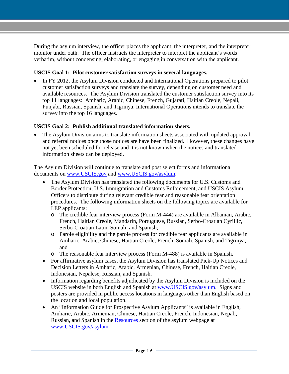During the asylum interview, the officer places the applicant, the interpreter, and the interpreter monitor under oath. The officer instructs the interpreter to interpret the applicant's words verbatim, without condensing, elaborating, or engaging in conversation with the applicant.

### **USCIS Goal 1: Pilot customer satisfaction surveys in several languages.**

• In FY 2012, the Asylum Division conducted and International Operations prepared to pilot customer satisfaction surveys and translate the survey, depending on customer need and available resources. The Asylum Division translated the customer satisfaction survey into its top 11 languages: Amharic, Arabic, Chinese, French, Gujarati, Haitian Creole, Nepali, Punjabi, Russian, Spanish, and Tigrinya. International Operations intends to translate the survey into the top 16 languages.

### **USCIS Goal 2: Publish additional translated information sheets.**

• The Asylum Division aims to translate information sheets associated with updated approval and referral notices once those notices are have been finalized. However, these changes have not yet been scheduled for release and it is not known when the notices and translated information sheets can be deployed.

The Asylum Division will continue to translate and post select forms and informational documents on [www.USCIS.gov](http://www.uscis.gov/) and [www.USCIS.gov/asylum.](http://www.uscis.gov/asylum)

- The Asylum Division has translated the following documents for U.S. Customs and Border Protection, U.S. Immigration and Customs Enforcement, and USCIS Asylum Officers to distribute during relevant credible fear and reasonable fear orientation procedures. The following information sheets on the following topics are available for LEP applicants:
	- o The credible fear interview process (Form M-444) are available in Albanian, Arabic, French, Haitian Creole, Mandarin, Portuguese, Russian, Serbo-Croatian Cyrillic, Serbo-Croatian Latin, Somali, and Spanish;
	- o Parole eligibility and the parole process for credible fear applicants are available in Amharic, Arabic, Chinese, Haitian Creole, French, Somali, Spanish, and Tigrinya; and
	- o The reasonable fear interview process (Form M-488) is available in Spanish.
- For affirmative asylum cases, the Asylum Division has translated Pick-Up Notices and Decision Letters in Amharic, Arabic, Armenian, Chinese, French, Haitian Creole, Indonesian, Nepalese, Russian, and Spanish.
- Information regarding benefits adjudicated by the Asylum Division is included on the USCIS website in both English and Spanish at [www.USCIS.gov/asylum.](http://www.uscis.gov/asylum) Signs and posters are provided in public access locations in languages other than English based on the location and local population.
- An "Information Guide for Prospective Asylum Applicants" is available in English, Amharic, Arabic, Armenian, Chinese, Haitian Creole, French, Indonesian, Nepali, Russian, and Spanish in the [Resources](http://www.uscis.gov/portal/site/uscis/menuitem.eb1d4c2a3e5b9ac89243c6a7543f6d1a/?vgnextoid=73419ddf801b3210VgnVCM100000b92ca60aRCRD&vgnextchannel=73419ddf801b3210VgnVCM100000b92ca60aRCRD) section of the asylum webpage at [www.USCIS.gov/asylum.](http://www.uscis.gov/asylum)